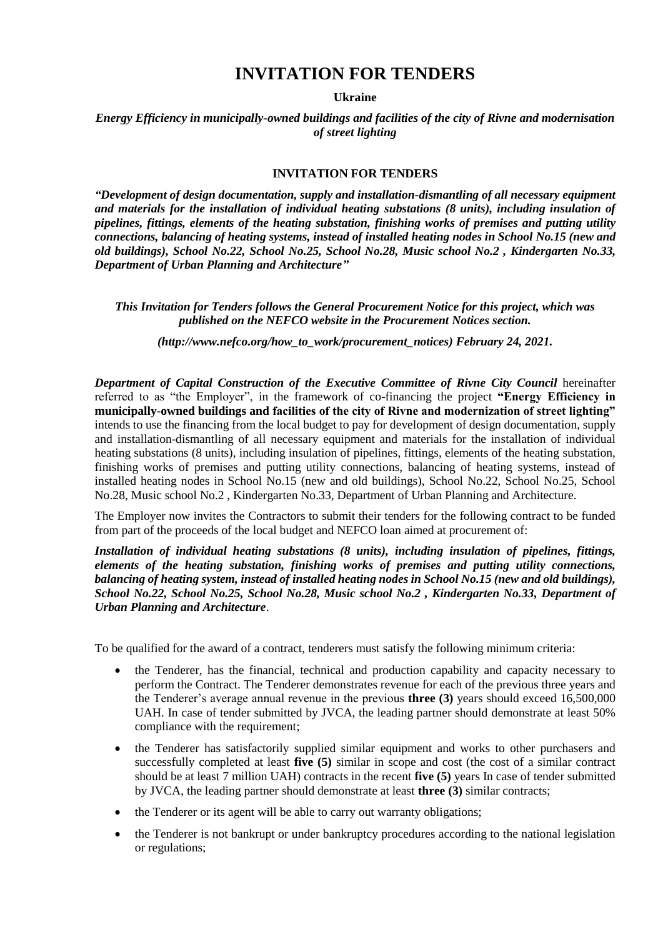## **INVITATION FOR TENDERS**

**Ukraine**

*Energy Efficiency in municipally-owned buildings and facilities of the city of Rivne and modernisation of street lighting* 

## **INVITATION FOR TENDERS**

*"Development of design documentation, supply and installation-dismantling of all necessary equipment and materials for the installation of individual heating substations (8 units), including insulation of pipelines, fittings, elements of the heating substation, finishing works of premises and putting utility connections, balancing of heating systems, instead of installed heating nodes in School No.15 (new and old buildings), School No.22, School No.25, School No.28, Music school No.2 , Kindergarten No.33, Department of Urban Planning and Architecture"*

*This Invitation for Tenders follows the General Procurement Notice for this project, which was published on the NEFCO website in the Procurement Notices section.*

*(http://www.nefco.org/how\_to\_work/procurement\_notices) February 24, 2021.*

*Department of Capital Construction of the Executive Committee of Rivne City Council* hereinafter referred to as "the Employer", in the framework of co-financing the project **"Energy Efficiency in municipally-owned buildings and facilities of the city of Rivne and modernization of street lighting"** intends to use the financing from the local budget to pay for development of design documentation, supply and installation-dismantling of all necessary equipment and materials for the installation of individual heating substations (8 units), including insulation of pipelines, fittings, elements of the heating substation, finishing works of premises and putting utility connections, balancing of heating systems, instead of installed heating nodes in School No.15 (new and old buildings), School No.22, School No.25, School No.28, Music school No.2 , Kindergarten No.33, Department of Urban Planning and Architecture.

The Employer now invites the Contractors to submit their tenders for the following contract to be funded from part of the proceeds of the local budget and NEFCO loan aimed at procurement of:

*Installation of individual heating substations (8 units), including insulation of pipelines, fittings, elements of the heating substation, finishing works of premises and putting utility connections, balancing of heating system, instead of installed heating nodes in School No.15 (new and old buildings), School No.22, School No.25, School No.28, Music school No.2 , Kindergarten No.33, Department of Urban Planning and Architecture*.

To be qualified for the award of a contract, tenderers must satisfy the following minimum criteria:

- the Tenderer, has the financial, technical and production capability and capacity necessary to perform the Contract. The Tenderer demonstrates revenue for each of the previous three years and the Tenderer's average annual revenue in the previous **three (3)** years should exceed 16,500,000 UAH. In case of tender submitted by JVCA, the leading partner should demonstrate at least 50% compliance with the requirement;
- the Tenderer has satisfactorily supplied similar equipment and works to other purchasers and successfully completed at least **five (5)** similar in scope and cost (the cost of a similar contract should be at least 7 million UAH) contracts in the recent **five (5)** years In case of tender submitted by JVCA, the leading partner should demonstrate at least **three (3)** similar contracts;
- the Tenderer or its agent will be able to carry out warranty obligations;
- the Tenderer is not bankrupt or under bankruptcy procedures according to the national legislation or regulations;